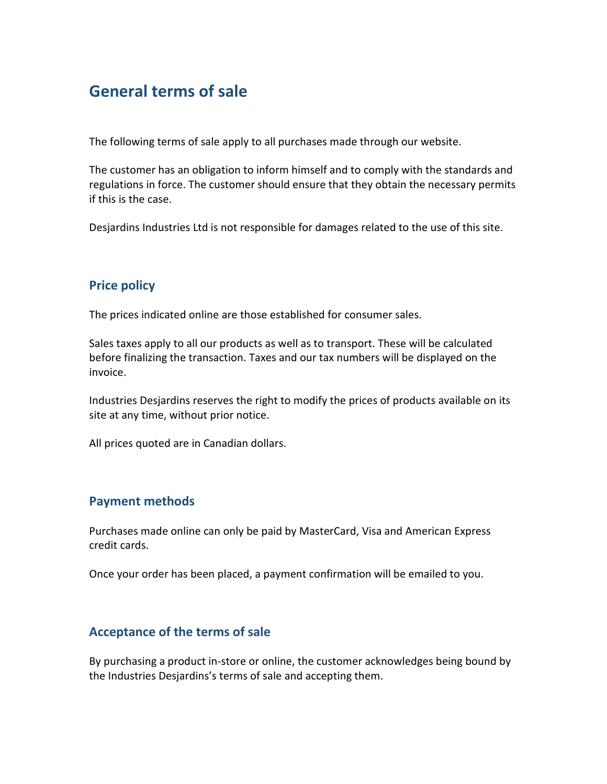# **General terms of sale**

The following terms of sale apply to all purchases made through our website.

The customer has an obligation to inform himself and to comply with the standards and regulations in force. The customer should ensure that they obtain the necessary permits if this is the case.

Desjardins Industries Ltd is not responsible for damages related to the use of this site.

### **Price policy**

The prices indicated online are those established for consumer sales.

Sales taxes apply to all our products as well as to transport. These will be calculated before finalizing the transaction. Taxes and our tax numbers will be displayed on the invoice.

Industries Desjardins reserves the right to modify the prices of products available on its site at any time, without prior notice.

All prices quoted are in Canadian dollars.

#### **Payment methods**

Purchases made online can only be paid by MasterCard, Visa and American Express credit cards.

Once your order has been placed, a payment confirmation will be emailed to you.

## **Acceptance of the terms of sale**

By purchasing a product in-store or online, the customer acknowledges being bound by the Industries Desjardins's terms of sale and accepting them.